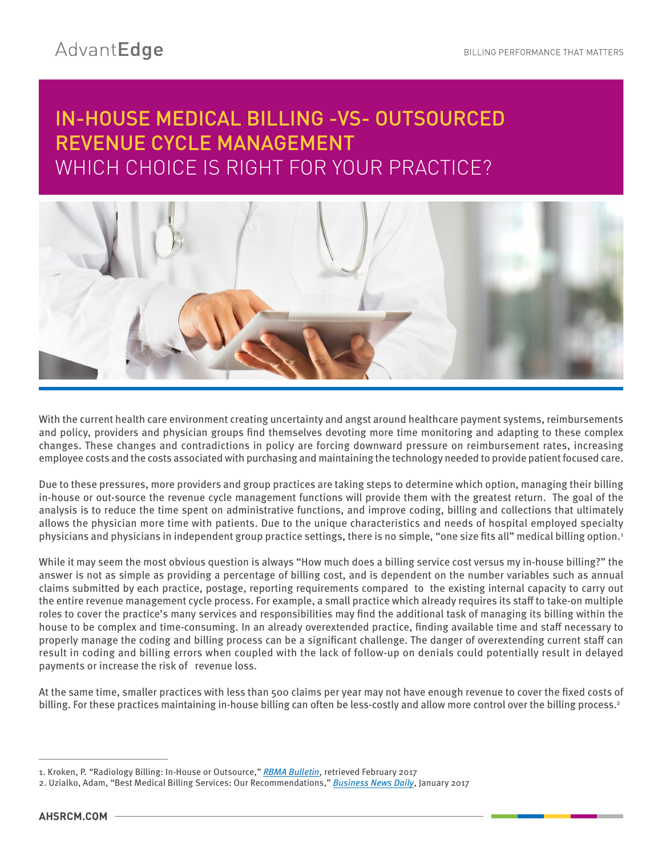# IN-HOUSE MEDICAL BILLING -VS- OUTSOURCED REVENUE CYCLE MANAGEMENT WHICH CHOICE IS RIGHT FOR YOUR PRACTICE?



With the current health care environment creating uncertainty and angst around healthcare payment systems, reimbursements and policy, providers and physician groups find themselves devoting more time monitoring and adapting to these complex changes. These changes and contradictions in policy are forcing downward pressure on reimbursement rates, increasing employee costs and the costs associated with purchasing and maintaining the technology needed to provide patient focused care.

Due to these pressures, more providers and group practices are taking steps to determine which option, managing their billing in-house or out-source the revenue cycle management functions will provide them with the greatest return. The goal of the analysis is to reduce the time spent on administrative functions, and improve coding, billing and collections that ultimately allows the physician more time with patients. Due to the unique characteristics and needs of hospital employed specialty physicians and physicians in independent group practice settings, there is no simple, "one size fits all" medical billing option.1

While it may seem the most obvious question is always "How much does a billing service cost versus my in-house billing?" the answer is not as simple as providing a percentage of billing cost, and is dependent on the number variables such as annual claims submitted by each practice, postage, reporting requirements compared to the existing internal capacity to carry out the entire revenue management cycle process. For example, a small practice which already requires its staff to take-on multiple roles to cover the practice's many services and responsibilities may find the additional task of managing its billing within the house to be complex and time-consuming. In an already overextended practice, finding available time and staff necessary to properly manage the coding and billing process can be a significant challenge. The danger of overextending current staff can result in coding and billing errors when coupled with the lack of follow-up on denials could potentially result in delayed payments or increase the risk of revenue loss.

At the same time, smaller practices with less than 500 claims per year may not have enough revenue to cover the fixed costs of billing. For these practices maintaining in-house billing can often be less-costly and allow more control over the billing process.<sup>2</sup>

<sup>1.</sup> Kroken, P. "Radiology Billing: In-House or Outsource," *RBMA Bulletin*, retrieved February 2017

<sup>2.</sup> Uzialko, Adam, "Best Medical Billing Services: Our Recommendations," *Business News Daily*, January 2017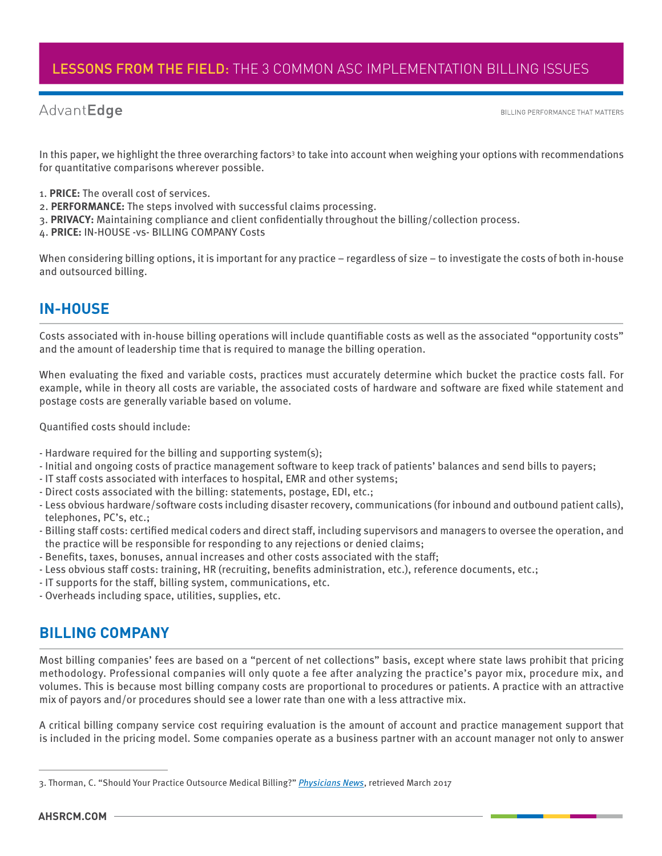#### AdvantEdge

BILLING PERFORMANCE THAT MATTERS

In this paper, we highlight the three overarching factors<sup>3</sup> to take into account when weighing your options with recommendations for quantitative comparisons wherever possible.

- 1. **PRICE:** The overall cost of services.
- 2. **PERFORMANCE:** The steps involved with successful claims processing.
- 3. **PRIVACY:** Maintaining compliance and client confidentially throughout the billing/collection process.
- 4. **PRICE:** IN-HOUSE -vs- BILLING COMPANY Costs

When considering billing options, it is important for any practice – regardless of size – to investigate the costs of both in-house and outsourced billing.

### **IN-HOUSE**

Costs associated with in-house billing operations will include quantifiable costs as well as the associated "opportunity costs" and the amount of leadership time that is required to manage the billing operation.

When evaluating the fixed and variable costs, practices must accurately determine which bucket the practice costs fall. For example, while in theory all costs are variable, the associated costs of hardware and software are fixed while statement and postage costs are generally variable based on volume.

Quantified costs should include:

- Hardware required for the billing and supporting system(s);
- Initial and ongoing costs of practice management software to keep track of patients' balances and send bills to payers;
- IT staff costs associated with interfaces to hospital, EMR and other systems;
- Direct costs associated with the billing: statements, postage, EDI, etc.;
- Less obvious hardware/software costs including disaster recovery, communications (for inbound and outbound patient calls), telephones, PC's, etc.;
- Billing staff costs: certified medical coders and direct staff, including supervisors and managers to oversee the operation, and the practice will be responsible for responding to any rejections or denied claims;
- Benefits, taxes, bonuses, annual increases and other costs associated with the staff;
- Less obvious staff costs: training, HR (recruiting, benefits administration, etc.), reference documents, etc.;
- IT supports for the staff, billing system, communications, etc.
- Overheads including space, utilities, supplies, etc.

### **BILLING COMPANY**

Most billing companies' fees are based on a "percent of net collections" basis, except where state laws prohibit that pricing methodology. Professional companies will only quote a fee after analyzing the practice's payor mix, procedure mix, and volumes. This is because most billing company costs are proportional to procedures or patients. A practice with an attractive mix of payors and/or procedures should see a lower rate than one with a less attractive mix.

A critical billing company service cost requiring evaluation is the amount of account and practice management support that is included in the pricing model. Some companies operate as a business partner with an account manager not only to answer

<sup>3.</sup> Thorman, C. "Should Your Practice Outsource Medical Billing?" *Physicians News*, retrieved March 2017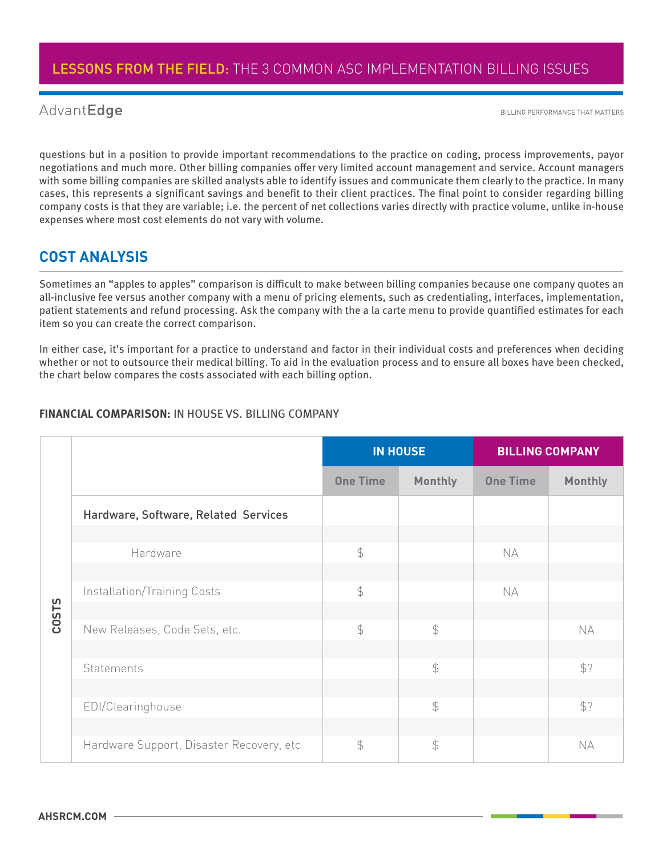#### AdvantEdge

BILLING PERFORMANCE THAT MATTERS

questions but in a position to provide important recommendations to the practice on coding, process improvements, payor negotiations and much more. Other billing companies offer very limited account management and service. Account managers with some billing companies are skilled analysts able to identify issues and communicate them clearly to the practice. In many cases, this represents a significant savings and benefit to their client practices. The final point to consider regarding billing company costs is that they are variable; i.e. the percent of net collections varies directly with practice volume, unlike in-house expenses where most cost elements do not vary with volume.

#### **COST ANALYSIS**

Sometimes an "apples to apples" comparison is difficult to make between billing companies because one company quotes an all-inclusive fee versus another company with a menu of pricing elements, such as credentialing, interfaces, implementation, patient statements and refund processing. Ask the company with the a la carte menu to provide quantified estimates for each item so you can create the correct comparison.

In either case, it's important for a practice to understand and factor in their individual costs and preferences when deciding whether or not to outsource their medical billing. To aid in the evaluation process and to ensure all boxes have been checked, the chart below compares the costs associated with each billing option.

|       |                                          | <b>IN HOUSE</b> |                | <b>BILLING COMPANY</b> |                |
|-------|------------------------------------------|-----------------|----------------|------------------------|----------------|
|       |                                          | <b>One Time</b> | <b>Monthly</b> | <b>One Time</b>        | <b>Monthly</b> |
|       | Hardware, Software, Related Services     |                 |                |                        |                |
|       |                                          |                 |                |                        |                |
|       | Hardware                                 | $\mathfrak{P}$  |                | <b>NA</b>              |                |
|       |                                          |                 |                |                        |                |
| COSTS | <b>Installation/Training Costs</b>       | $\mathcal{L}$   |                | <b>NA</b>              |                |
|       |                                          |                 |                |                        |                |
|       | New Releases, Code Sets, etc.            | $\mathfrak{P}$  | $\frac{1}{2}$  |                        | <b>NA</b>      |
|       |                                          |                 |                |                        |                |
|       | Statements                               |                 | $\mathcal{L}$  |                        | \$?            |
|       |                                          |                 |                |                        |                |
|       | EDI/Clearinghouse                        |                 | $\frac{1}{2}$  |                        | \$?            |
|       |                                          |                 |                |                        |                |
|       | Hardware Support, Disaster Recovery, etc | $\mathcal{L}$   | $\mathfrak{S}$ |                        | <b>NA</b>      |

#### **FINANCIAL COMPARISON: IN HOUSE VS. BILLING COMPANY**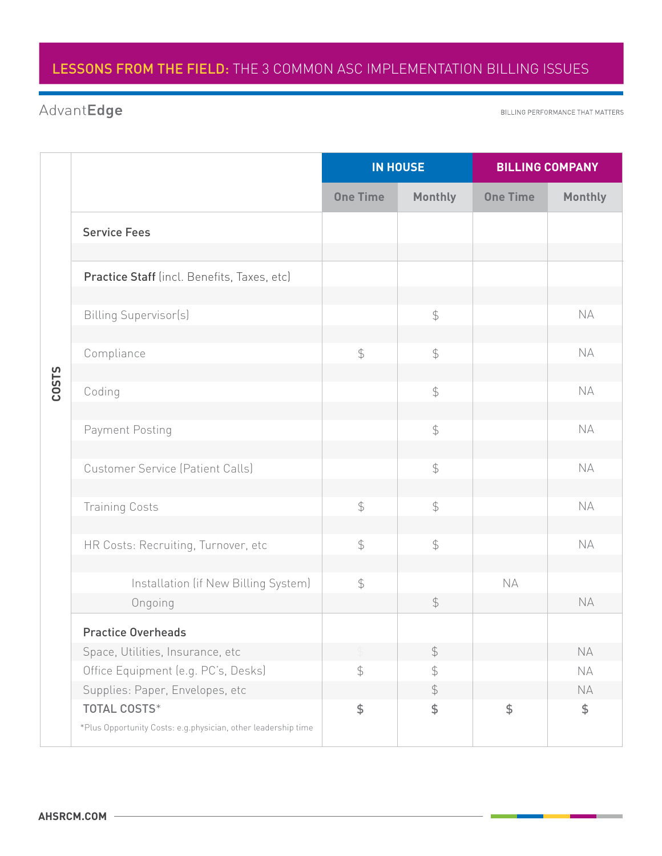# AdvantEdge

BILLING PERFORMANCE THAT MATTERS

|              |                                                                                      | <b>IN HOUSE</b> |                | <b>BILLING COMPANY</b> |                |
|--------------|--------------------------------------------------------------------------------------|-----------------|----------------|------------------------|----------------|
|              |                                                                                      | <b>One Time</b> | <b>Monthly</b> | <b>One Time</b>        | <b>Monthly</b> |
| <b>COSTS</b> | <b>Service Fees</b>                                                                  |                 |                |                        |                |
|              |                                                                                      |                 |                |                        |                |
|              | Practice Staff (incl. Benefits, Taxes, etc)                                          |                 |                |                        |                |
|              | <b>Billing Supervisor(s)</b>                                                         |                 | $\oint$        |                        | <b>NA</b>      |
|              | Compliance                                                                           | $\frac{1}{2}$   | $\oint$        |                        | <b>NA</b>      |
|              | Coding                                                                               |                 | $\oint$        |                        | <b>NA</b>      |
|              | Payment Posting                                                                      |                 | $\frac{1}{2}$  |                        | <b>NA</b>      |
|              | <b>Customer Service (Patient Calls)</b>                                              |                 | $\oint$        |                        | <b>NA</b>      |
|              | <b>Training Costs</b>                                                                | $\frac{1}{2}$   | $\oint$        |                        | <b>NA</b>      |
|              | HR Costs: Recruiting, Turnover, etc                                                  | $\frac{1}{2}$   | $\oint$        |                        | <b>NA</b>      |
|              | Installation (if New Billing System)                                                 | $\frac{1}{2}$   |                | <b>NA</b>              |                |
|              | Ongoing                                                                              |                 | $\frac{1}{2}$  |                        | <b>NA</b>      |
|              | <b>Practice Overheads</b>                                                            |                 |                |                        |                |
|              | Space, Utilities, Insurance, etc                                                     |                 | $\frac{1}{2}$  |                        | NA             |
|              | Office Equipment (e.g. PC's, Desks)                                                  | $\mathfrak{P}$  | \$             |                        | NA             |
|              | Supplies: Paper, Envelopes, etc                                                      |                 | $\frac{1}{2}$  |                        | NA             |
|              | <b>TOTAL COSTS*</b><br>*Plus Opportunity Costs: e.g.physician, other leadership time | $\frac{4}{5}$   | \$             | \$                     | \$             |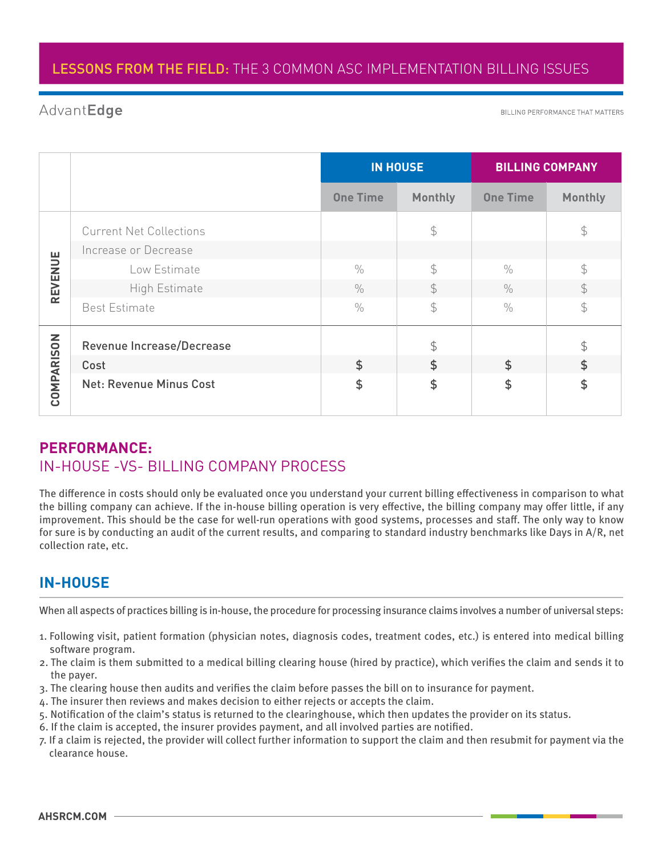#### AdvantEdge

BILLING PERFORMANCE THAT MATTERS

|                   |                                | <b>IN HOUSE</b> |                | <b>BILLING COMPANY</b> |                |
|-------------------|--------------------------------|-----------------|----------------|------------------------|----------------|
|                   |                                | <b>One Time</b> | <b>Monthly</b> | <b>One Time</b>        | <b>Monthly</b> |
| <b>REVENUE</b>    | <b>Current Net Collections</b> |                 | $\frac{1}{2}$  |                        | $\mathfrak{P}$ |
|                   | Increase or Decrease           |                 |                |                        |                |
|                   | Low Estimate                   | $\frac{0}{0}$   | $\mathcal{L}$  | $\frac{0}{0}$          | $\mathcal{P}$  |
|                   | High Estimate                  | $\frac{0}{0}$   | $\mathcal{L}$  | $\frac{0}{0}$          | $\mathcal{P}$  |
|                   | <b>Best Estimate</b>           | $\frac{0}{0}$   | $\mathfrak{S}$ | $\frac{0}{0}$          | $\frac{1}{2}$  |
| <b>COMPARISON</b> | Revenue Increase/Decrease      |                 | $\mathfrak{P}$ |                        | $\mathcal{P}$  |
|                   | Cost                           | \$              | $\mathfrak{L}$ | $\mathfrak{S}$         | $\frac{1}{2}$  |
|                   | <b>Net: Revenue Minus Cost</b> | \$              | $\frac{1}{2}$  | \$                     | $\frac{1}{2}$  |

### **PERFORMANCE:**  IN-HOUSE -VS- BILLING COMPANY PROCESS

The difference in costs should only be evaluated once you understand your current billing effectiveness in comparison to what the billing company can achieve. If the in-house billing operation is very effective, the billing company may offer little, if any improvement. This should be the case for well-run operations with good systems, processes and staff. The only way to know for sure is by conducting an audit of the current results, and comparing to standard industry benchmarks like Days in A/R, net collection rate, etc.

### **IN-HOUSE**

When all aspects of practices billing is in-house, the procedure for processing insurance claims involves a number of universal steps:

- 1. Following visit, patient formation (physician notes, diagnosis codes, treatment codes, etc.) is entered into medical billing software program.
- 2. The claim is them submitted to a medical billing clearing house (hired by practice), which verifies the claim and sends it to the payer.
- 3. The clearing house then audits and verifies the claim before passes the bill on to insurance for payment.
- 4. The insurer then reviews and makes decision to either rejects or accepts the claim.
- 5. Notification of the claim's status is returned to the clearinghouse, which then updates the provider on its status.
- 6. If the claim is accepted, the insurer provides payment, and all involved parties are notified.
- 7. If a claim is rejected, the provider will collect further information to support the claim and then resubmit for payment via the clearance house.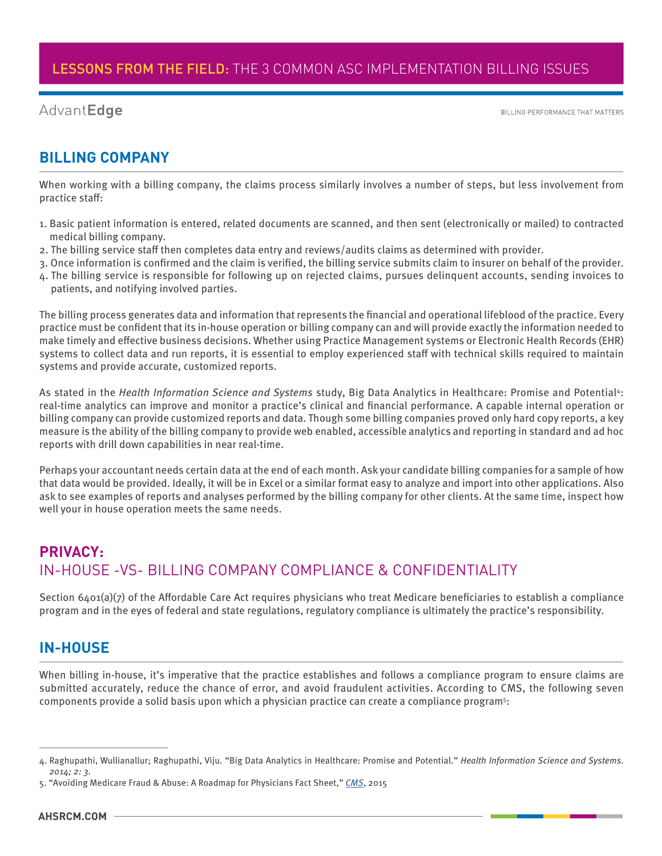#### AdvantEdge

**BILLING PERFORMANCE THAT MATTERS** 

#### **BILLING COMPANY**

When working with a billing company, the claims process similarly involves a number of steps, but less involvement from practice staff:

- 1. Basic patient information is entered, related documents are scanned, and then sent (electronically or mailed) to contracted medical billing company.
- 2. The billing service staff then completes data entry and reviews/audits claims as determined with provider.
- 3. Once information is confirmed and the claim is verified, the billing service submits claim to insurer on behalf of the provider.
- 4. The billing service is responsible for following up on rejected claims, pursues delinquent accounts, sending invoices to patients, and notifying involved parties.

The billing process generates data and information that represents the financial and operational lifeblood of the practice. Every practice must be confident that its in-house operation or billing company can and will provide exactly the information needed to make timely and effective business decisions. Whether using Practice Management systems or Electronic Health Records (EHR) systems to collect data and run reports, it is essential to employ experienced staff with technical skills required to maintain systems and provide accurate, customized reports.

As stated in the *Health Information Science and Systems* study, Big Data Analytics in Healthcare: Promise and Potential4: real-time analytics can improve and monitor a practice's clinical and financial performance. A capable internal operation or billing company can provide customized reports and data. Though some billing companies proved only hard copy reports, a key measure is the ability of the billing company to provide web enabled, accessible analytics and reporting in standard and ad hoc reports with drill down capabilities in near real-time.

Perhaps your accountant needs certain data at the end of each month. Ask your candidate billing companies for a sample of how that data would be provided. Ideally, it will be in Excel or a similar format easy to analyze and import into other applications. Also ask to see examples of reports and analyses performed by the billing company for other clients. At the same time, inspect how well your in house operation meets the same needs.

# **PRIVACY:**  IN-HOUSE -VS- BILLING COMPANY COMPLIANCE & CONFIDENTIALITY

Section 6401(a)(7) of the Affordable Care Act requires physicians who treat Medicare beneficiaries to establish a compliance program and in the eyes of federal and state regulations, regulatory compliance is ultimately the practice's responsibility.

#### **IN-HOUSE**

When billing in-house, it's imperative that the practice establishes and follows a compliance program to ensure claims are submitted accurately, reduce the chance of error, and avoid fraudulent activities. According to CMS, the following seven components provide a solid basis upon which a physician practice can create a compliance program<sup>5</sup>:

<sup>4.</sup> Raghupathi, Wullianallur; Raghupathi, Viju. "Big Data Analytics in Healthcare: Promise and Potential." *Health Information Science and Systems. 2014; 2: 3.*

<sup>5. &</sup>quot;Avoiding Medicare Fraud & Abuse: A Roadmap for Physicians Fact Sheet," *CMS*, 2015